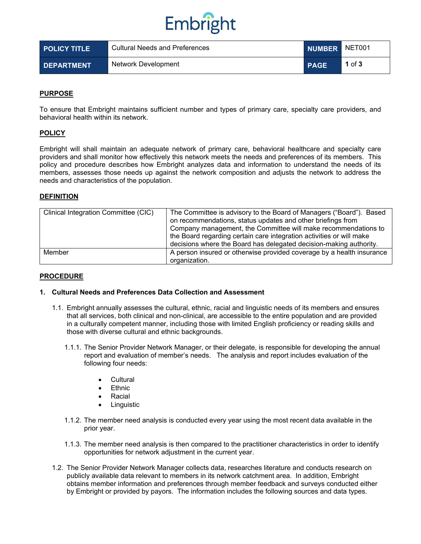

| <b>POLICY TITLE</b> | <b>Cultural Needs and Preferences</b> | NUMBER NET001 |        |
|---------------------|---------------------------------------|---------------|--------|
| <b>DEPARTMENT</b>   | Network Development                   | <b>PAGE</b>   | 1 of 3 |

### **PURPOSE**

To ensure that Embright maintains sufficient number and types of primary care, specialty care providers, and behavioral health within its network.

### **POLICY**

Embright will shall maintain an adequate network of primary care, behavioral healthcare and specialty care providers and shall monitor how effectively this network meets the needs and preferences of its members. This policy and procedure describes how Embright analyzes data and information to understand the needs of its members, assesses those needs up against the network composition and adjusts the network to address the needs and characteristics of the population.

### **DEFINITION**

| Clinical Integration Committee (CIC) | The Committee is advisory to the Board of Managers ("Board"). Based<br>on recommendations, status updates and other briefings from<br>Company management, the Committee will make recommendations to<br>the Board regarding certain care integration activities or will make<br>decisions where the Board has delegated decision-making authority. |  |
|--------------------------------------|----------------------------------------------------------------------------------------------------------------------------------------------------------------------------------------------------------------------------------------------------------------------------------------------------------------------------------------------------|--|
| Member                               | A person insured or otherwise provided coverage by a health insurance<br>organization.                                                                                                                                                                                                                                                             |  |

### **PROCEDURE**

### **1. Cultural Needs and Preferences Data Collection and Assessment**

- 1.1. Embright annually assesses the cultural, ethnic, racial and linguistic needs of its members and ensures that all services, both clinical and non-clinical, are accessible to the entire population and are provided in a culturally competent manner, including those with limited English proficiency or reading skills and those with diverse cultural and ethnic backgrounds.
	- 1.1.1. The Senior Provider Network Manager, or their delegate, is responsible for developing the annual report and evaluation of member's needs. The analysis and report includes evaluation of the following four needs:
		- Cultural
		- Ethnic
		- **Racial**
		- **Linguistic**
	- 1.1.2. The member need analysis is conducted every year using the most recent data available in the prior year.
	- 1.1.3. The member need analysis is then compared to the practitioner characteristics in order to identify opportunities for network adjustment in the current year.
- 1.2. The Senior Provider Network Manager collects data, researches literature and conducts research on publicly available data relevant to members in its network catchment area. In addition, Embright obtains member information and preferences through member feedback and surveys conducted either by Embright or provided by payors. The information includes the following sources and data types.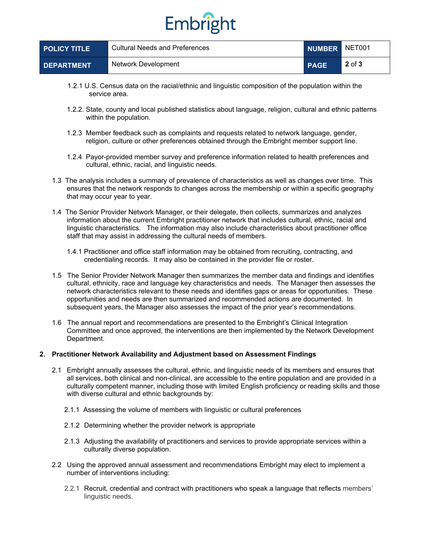# Embright

| <b>POLICY TITLE</b> | Cultural Needs and Preferences |             | NUMBER NET001 |
|---------------------|--------------------------------|-------------|---------------|
| <b>DEPARTMENT</b>   | Network Development            | <b>PAGE</b> | $2$ of $3$    |

- 1.2.1 U.S. Census data on the racial/ethnic and linguistic composition of the population within the service area.
- 1.2.2. State, county and local published statistics about language, religion, cultural and ethnic patterns within the population.
- 1.2.3 Member feedback such as complaints and requests related to network language, gender, religion, culture or other preferences obtained through the Embright member support line.
- 1.2.4 Payor-provided member survey and preference information related to health preferences and cultural, ethnic, racial, and linguistic needs.
- 1.3 The analysis includes a summary of prevalence of characteristics as well as changes over time. This ensures that the network responds to changes across the membership or within a specific geography that may occur year to year.
- 1.4 The Senior Provider Network Manager, or their delegate, then collects, summarizes and analyzes information about the current Embright practitioner network that includes cultural, ethnic, racial and linguistic characteristics. The information may also include characteristics about practitioner office staff that may assist in addressing the cultural needs of members.
	- 1.4.1 Practitioner and office staff information may be obtained from recruiting, contracting, and credentialing records. It may also be contained in the provider file or roster.
- 1.5 The Senior Provider Network Manager then summarizes the member data and findings and identifies cultural, ethnicity, race and language key characteristics and needs. The Manager then assesses the network characteristics relevant to these needs and identifies gaps or areas for opportunities. These opportunities and needs are then summarized and recommended actions are documented. In subsequent years, the Manager also assesses the impact of the prior year's recommendations.
- 1.6 The annual report and recommendations are presented to the Embright's Clinical Integration Committee and once approved, the interventions are then implemented by the Network Development Department.

### **2. Practitioner Network Availability and Adjustment based on Assessment Findings**

- 2.1 Embright annually assesses the cultural, ethnic, and linguistic needs of its members and ensures that all services, both clinical and non-clinical, are accessible to the entire population and are provided in a culturally competent manner, including those with limited English proficiency or reading skills and those with diverse cultural and ethnic backgrounds by:
	- 2.1.1 Assessing the volume of members with linguistic or cultural preferences
	- 2.1.2 Determining whether the provider network is appropriate
	- 2.1.3 Adjusting the availability of practitioners and services to provide appropriate services within a culturally diverse population.
- 2.2 Using the approved annual assessment and recommendations Embright may elect to implement a number of interventions including:
	- 2.2.1 Recruit, credential and contract with practitioners who speak a language that reflects members' linguistic needs.